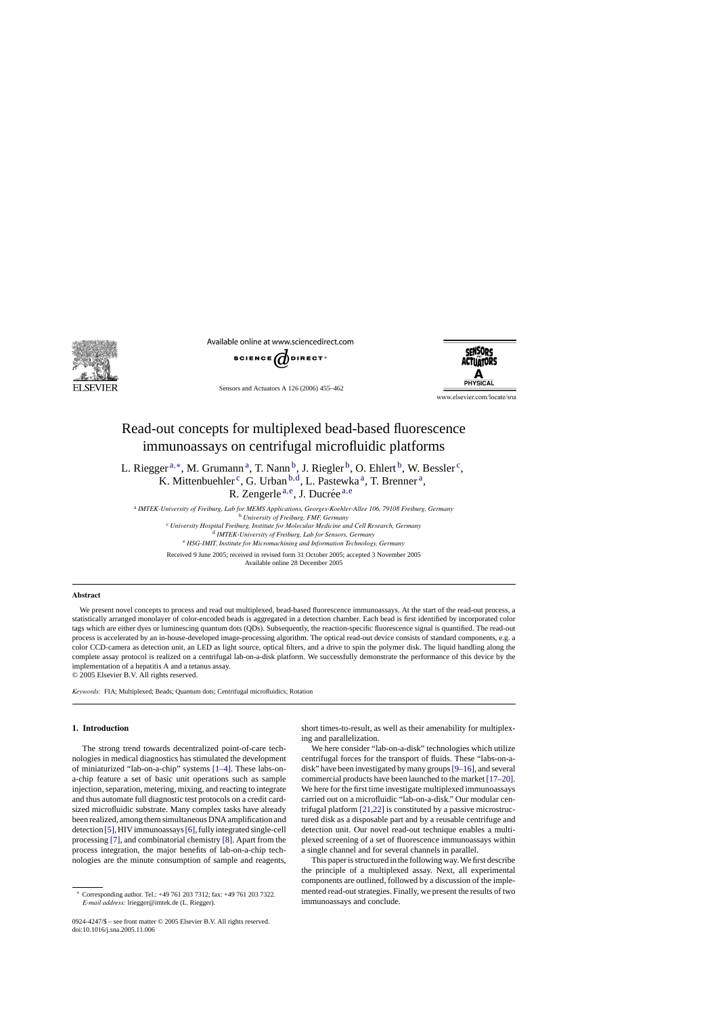

Available online at www.sciencedirect.com



Sensors and Actuators A 126 (2006) 455–462

**SENSORS ACTILATORS** 

www.elsevier.com/locate/sna

# Read-out concepts for multiplexed bead-based fluorescence immunoassays on centrifugal microfluidic platforms

L. Riegger  $a, *$ , M. Grumann  $a, T$ . Nann  $b, J$ . Riegler  $b, O$ . Ehlert  $b, W$ . Bessler  $c,$ K. Mittenbuehler<sup>c</sup>, G. Urban  $b, d$ , L. Pastewka<sup>a</sup>, T. Brenner<sup>a</sup>, R. Zengerle a,e, J. Ducrée a,e

<sup>a</sup> *IMTEK-University of Freiburg, Lab for MEMS Applications, Georges-Koehler-Allee 106, 79108 Freiburg, Germany* <sup>b</sup> *University of Freiburg, FMF, Germany*

<sup>c</sup> *University Hospital Freiburg, Institute for Molecular Medicine and Cell Research, Germany* <sup>d</sup> *IMTEK-University of Freiburg, Lab for Sensors, Germany* <sup>e</sup> *HSG-IMIT, Institute for Micromachining and Information Technology, Germany*

Received 9 June 2005; received in revised form 31 October 2005; accepted 3 November 2005 Available online 28 December 2005

#### **Abstract**

We present novel concepts to process and read out multiplexed, bead-based fluorescence immunoassays. At the start of the read-out process, a statistically arranged monolayer of color-encoded beads is aggregated in a detection chamber. Each bead is first identified by incorporated color tags which are either dyes or luminescing quantum dots (QDs). Subsequently, the reaction-specific fluorescence signal is quantified. The read-out process is accelerated by an in-house-developed image-processing algorithm. The optical read-out device consists of standard components, e.g. a color CCD-camera as detection unit, an LED as light source, optical filters, and a drive to spin the polymer disk. The liquid handling along the complete assay protocol is realized on a centrifugal lab-on-a-disk platform. We successfully demonstrate the performance of this device by the implementation of a hepatitis A and a tetanus assay.

© 2005 Elsevier B.V. All rights reserved.

*Keywords:* FIA; Multiplexed; Beads; Quantum dots; Centrifugal microfluidics; Rotation

# **1. Introduction**

The strong trend towards decentralized point-of-care technologies in medical diagnostics has stimulated the development of miniaturized "lab-on-a-chip" systems [\[1–4\].](#page-6-0) These labs-ona-chip feature a set of basic unit operations such as sample injection, separation, metering, mixing, and reacting to integrate and thus automate full diagnostic test protocols on a credit cardsized microfluidic substrate. Many complex tasks have already been realized, among them simultaneous DNA amplification and detection [\[5\], H](#page-6-0)IV immunoassays[\[6\], f](#page-6-0)ully integrated single-cell processing [\[7\], a](#page-6-0)nd combinatorial chemistry [\[8\]. A](#page-6-0)part from the process integration, the major benefits of lab-on-a-chip technologies are the minute consumption of sample and reagents,

0924-4247/\$ – see front matter © 2005 Elsevier B.V. All rights reserved. doi:10.1016/j.sna.2005.11.006

short times-to-result, as well as their amenability for multiplexing and parallelization.

We here consider "lab-on-a-disk" technologies which utilize centrifugal forces for the transport of fluids. These "labs-on-adisk" have been investigated by many groups[\[9–16\], a](#page-6-0)nd several commercial products have been launched to the market [\[17–20\].](#page-6-0) We here for the first time investigate multiplexed immunoassays carried out on a microfluidic "lab-on-a-disk." Our modular centrifugal platform [\[21,22\]](#page-6-0) is constituted by a passive microstructured disk as a disposable part and by a reusable centrifuge and detection unit. Our novel read-out technique enables a multiplexed screening of a set of fluorescence immunoassays within a single channel and for several channels in parallel.

This paper is structured in the following way. We first describe the principle of a multiplexed assay. Next, all experimental components are outlined, followed by a discussion of the implemented read-out strategies. Finally, we present the results of two immunoassays and conclude.

<sup>∗</sup> Corresponding author. Tel.: +49 761 203 7312; fax: +49 761 203 7322. *E-mail address:* lriegger@imtek.de (L. Riegger).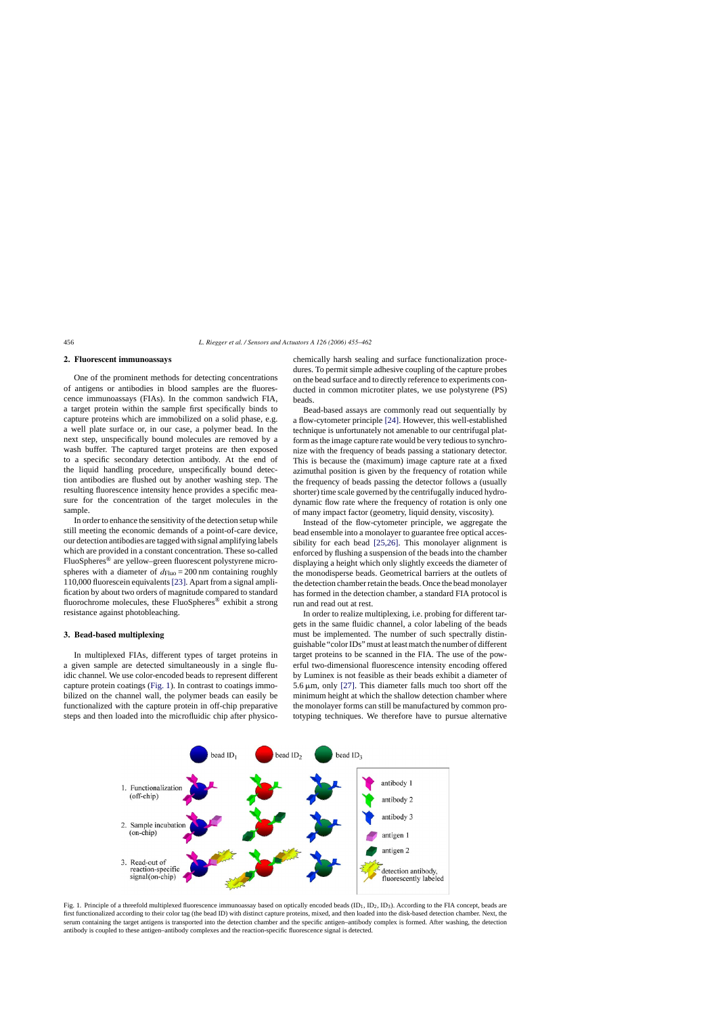## **2. Fluorescent immunoassays**

One of the prominent methods for detecting concentrations of antigens or antibodies in blood samples are the fluorescence immunoassays (FIAs). In the common sandwich FIA, a target protein within the sample first specifically binds to capture proteins which are immobilized on a solid phase, e.g. a well plate surface or, in our case, a polymer bead. In the next step, unspecifically bound molecules are removed by a wash buffer. The captured target proteins are then exposed to a specific secondary detection antibody. At the end of the liquid handling procedure, unspecifically bound detection antibodies are flushed out by another washing step. The resulting fluorescence intensity hence provides a specific measure for the concentration of the target molecules in the sample.

In order to enhance the sensitivity of the detection setup while still meeting the economic demands of a point-of-care device, our detection antibodies are tagged with signal amplifying labels which are provided in a constant concentration. These so-called FluoSpheres® are yellow–green fluorescent polystyrene microspheres with a diameter of  $d_{Fluo} = 200$  nm containing roughly 110,000 fluorescein equivalents[\[23\]. A](#page-6-0)part from a signal amplification by about two orders of magnitude compared to standard fluorochrome molecules, these FluoSpheres<sup>®</sup> exhibit a strong resistance against photobleaching.

## **3. Bead-based multiplexing**

In multiplexed FIAs, different types of target proteins in a given sample are detected simultaneously in a single fluidic channel. We use color-encoded beads to represent different capture protein coatings (Fig. 1). In contrast to coatings immobilized on the channel wall, the polymer beads can easily be functionalized with the capture protein in off-chip preparative steps and then loaded into the microfluidic chip after physicochemically harsh sealing and surface functionalization procedures. To permit simple adhesive coupling of the capture probes on the bead surface and to directly reference to experiments conducted in common microtiter plates, we use polystyrene (PS) beads.

Bead-based assays are commonly read out sequentially by a flow-cytometer principle [\[24\]. H](#page-6-0)owever, this well-established technique is unfortunately not amenable to our centrifugal platform as the image capture rate would be very tedious to synchronize with the frequency of beads passing a stationary detector. This is because the (maximum) image capture rate at a fixed azimuthal position is given by the frequency of rotation while the frequency of beads passing the detector follows a (usually shorter) time scale governed by the centrifugally induced hydrodynamic flow rate where the frequency of rotation is only one of many impact factor (geometry, liquid density, viscosity).

Instead of the flow-cytometer principle, we aggregate the bead ensemble into a monolayer to guarantee free optical accessibility for each bead [\[25,26\].](#page-6-0) This monolayer alignment is enforced by flushing a suspension of the beads into the chamber displaying a height which only slightly exceeds the diameter of the monodisperse beads. Geometrical barriers at the outlets of the detection chamber retain the beads. Once the bead monolayer has formed in the detection chamber, a standard FIA protocol is run and read out at rest.

In order to realize multiplexing, i.e. probing for different targets in the same fluidic channel, a color labeling of the beads must be implemented. The number of such spectrally distinguishable "color IDs" must at least match the number of different target proteins to be scanned in the FIA. The use of the powerful two-dimensional fluorescence intensity encoding offered by Luminex is not feasible as their beads exhibit a diameter of  $5.6 \,\mu$ m, only [\[27\].](#page-6-0) This diameter falls much too short off the minimum height at which the shallow detection chamber where the monolayer forms can still be manufactured by common prototyping techniques. We therefore have to pursue alternative



Fig. 1. Principle of a threefold multiplexed fluorescence immunoassay based on optically encoded beads  $(ID_1, ID_2, ID_3)$ . According to the FIA concept, beads are first functionalized according to their color tag (the bead ID) with distinct capture proteins, mixed, and then loaded into the disk-based detection chamber. Next, the serum containing the target antigens is transported into the detection chamber and the specific antigen–antibody complex is formed. After washing, the detection antibody is coupled to these antigen–antibody complexes and the reaction-specific fluorescence signal is detected.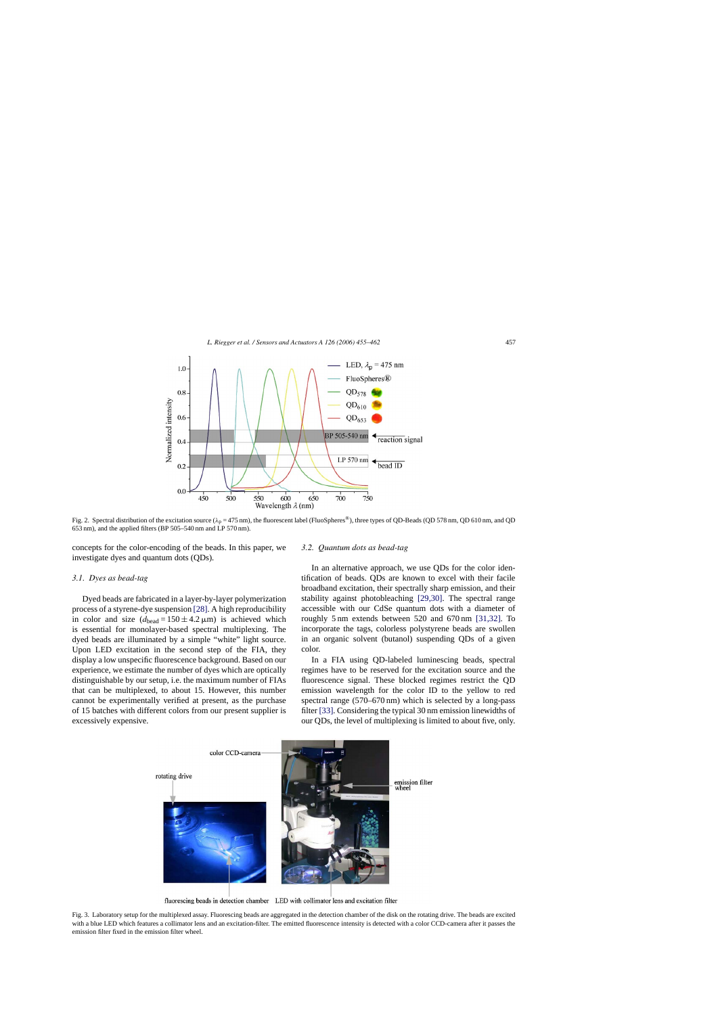<span id="page-2-0"></span>

Fig. 2. Spectral distribution of the excitation source ( $\lambda_p = 475$  nm), the fluorescent label (FluoSpheres®), three types of QD-Beads (QD 578 nm, QD 610 nm, and QD 653 nm), and the applied filters (BP 505–540 nm and LP 570 nm).

concepts for the color-encoding of the beads. In this paper, we investigate dyes and quantum dots (QDs).

#### *3.1. Dyes as bead-tag*

Dyed beads are fabricated in a layer-by-layer polymerization process of a styrene-dye suspension [\[28\]. A](#page-6-0) high reproducibility in color and size  $(d_{\text{head}} = 150 \pm 4.2 \,\mu\text{m})$  is achieved which is essential for monolayer-based spectral multiplexing. The dyed beads are illuminated by a simple "white" light source. Upon LED excitation in the second step of the FIA, they display a low unspecific fluorescence background. Based on our experience, we estimate the number of dyes which are optically distinguishable by our setup, i.e. the maximum number of FIAs that can be multiplexed, to about 15. However, this number cannot be experimentally verified at present, as the purchase of 15 batches with different colors from our present supplier is excessively expensive.

#### *3.2. Quantum dots as bead-tag*

In an alternative approach, we use QDs for the color identification of beads. QDs are known to excel with their facile broadband excitation, their spectrally sharp emission, and their stability against photobleaching [\[29,30\].](#page-6-0) The spectral range accessible with our CdSe quantum dots with a diameter of roughly 5 nm extends between 520 and 670 nm [\[31,32\].](#page-6-0) To incorporate the tags, colorless polystyrene beads are swollen in an organic solvent (butanol) suspending QDs of a given color.

In a FIA using QD-labeled luminescing beads, spectral regimes have to be reserved for the excitation source and the fluorescence signal. These blocked regimes restrict the QD emission wavelength for the color ID to the yellow to red spectral range (570–670 nm) which is selected by a long-pass filter [\[33\]. C](#page-6-0)onsidering the typical 30 nm emission linewidths of our QDs, the level of multiplexing is limited to about five, only.



fluorescing beads in detection chamber LED with collimator lens and excitation filter

Fig. 3. Laboratory setup for the multiplexed assay. Fluorescing beads are aggregated in the detection chamber of the disk on the rotating drive. The beads are excited with a blue LED which features a collimator lens and an excitation-filter. The emitted fluorescence intensity is detected with a color CCD-camera after it passes the emission filter fixed in the emission filter wheel.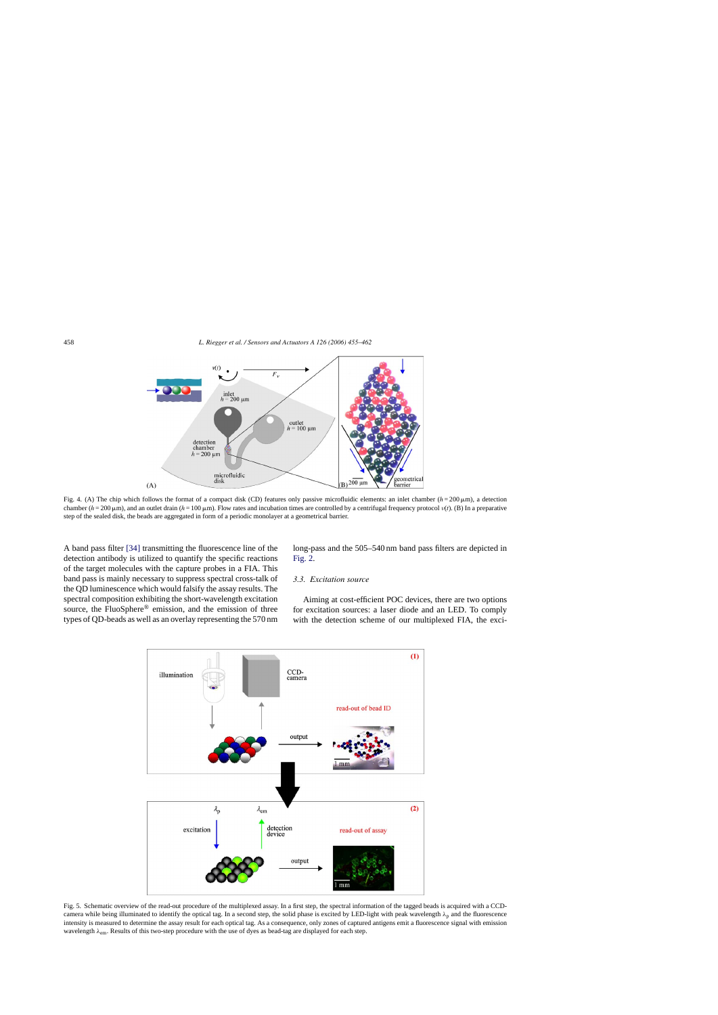<span id="page-3-0"></span>

Fig. 4. (A) The chip which follows the format of a compact disk (CD) features only passive microfluidic elements: an inlet chamber  $(h = 200 \,\mu\text{m})$ , a detection chamber  $(h = 200 \mu m)$ , and an outlet drain  $(h = 100 \mu m)$ . Flow rates and incubation times are controlled by a centrifugal frequency protocol  $v(t)$ . (B) In a preparative step of the sealed disk, the beads are aggregated in form of a periodic monolayer at a geometrical barrier.

A band pass filter [\[34\]](#page-6-0) transmitting the fluorescence line of the detection antibody is utilized to quantify the specific reactions of the target molecules with the capture probes in a FIA. This band pass is mainly necessary to suppress spectral cross-talk of the QD luminescence which would falsify the assay results. The spectral composition exhibiting the short-wavelength excitation source, the FluoSphere® emission, and the emission of three types of QD-beads as well as an overlay representing the 570 nm long-pass and the 505–540 nm band pass filters are depicted in [Fig. 2.](#page-2-0)

# *3.3. Excitation source*

Aiming at cost-efficient POC devices, there are two options for excitation sources: a laser diode and an LED. To comply with the detection scheme of our multiplexed FIA, the exci-



Fig. 5. Schematic overview of the read-out procedure of the multiplexed assay. In a first step, the spectral information of the tagged beads is acquired with a CCDcamera while being illuminated to identify the optical tag. In a second step, the solid phase is excited by LED-light with peak wavelength  $\lambda_p$  and the fluorescence intensity is measured to determine the assay result for each optical tag. As a consequence, only zones of captured antigens emit a fluorescence signal with emission wavelength  $\lambda_{\rm em}$ . Results of this two-step procedure with the use of dyes as bead-tag are displayed for each step.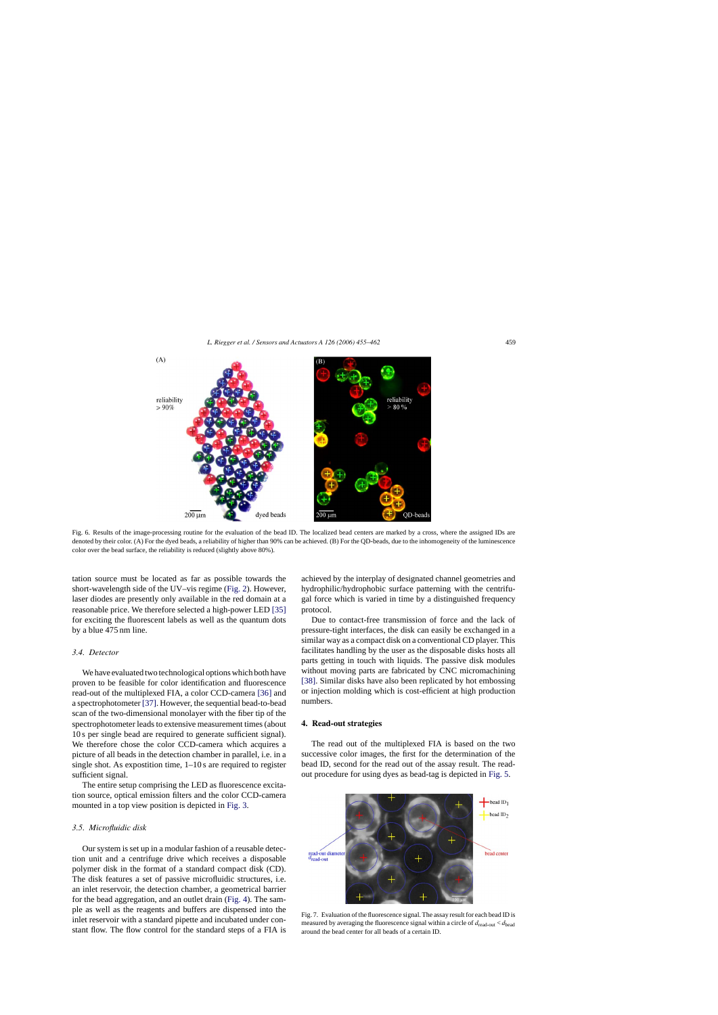<span id="page-4-0"></span>

Fig. 6. Results of the image-processing routine for the evaluation of the bead ID. The localized bead centers are marked by a cross, where the assigned IDs are denoted by their color. (A) For the dyed beads, a reliability of higher than 90% can be achieved. (B) For the QD-beads, due to the inhomogeneity of the luminescence color over the bead surface, the reliability is reduced (slightly above 80%).

tation source must be located as far as possible towards the short-wavelength side of the UV–vis regime [\(Fig. 2\).](#page-2-0) However, laser diodes are presently only available in the red domain at a reasonable price. We therefore selected a high-power LED [\[35\]](#page-6-0) for exciting the fluorescent labels as well as the quantum dots by a blue 475 nm line.

## *3.4. Detector*

We have evaluated two technological options which both have proven to be feasible for color identification and fluorescence read-out of the multiplexed FIA, a color CCD-camera [\[36\]](#page-6-0) and a spectrophotometer [\[37\]. H](#page-6-0)owever, the sequential bead-to-bead scan of the two-dimensional monolayer with the fiber tip of the spectrophotometer leads to extensive measurement times (about 10 s per single bead are required to generate sufficient signal). We therefore chose the color CCD-camera which acquires a picture of all beads in the detection chamber in parallel, i.e. in a single shot. As expostition time, 1–10 s are required to register sufficient signal.

The entire setup comprising the LED as fluorescence excitation source, optical emission filters and the color CCD-camera mounted in a top view position is depicted in [Fig. 3.](#page-2-0)

# *3.5. Microfluidic disk*

Our system is set up in a modular fashion of a reusable detection unit and a centrifuge drive which receives a disposable polymer disk in the format of a standard compact disk (CD). The disk features a set of passive microfluidic structures, i.e. an inlet reservoir, the detection chamber, a geometrical barrier for the bead aggregation, and an outlet drain ([Fig. 4\).](#page-3-0) The sample as well as the reagents and buffers are dispensed into the inlet reservoir with a standard pipette and incubated under constant flow. The flow control for the standard steps of a FIA is

achieved by the interplay of designated channel geometries and hydrophilic/hydrophobic surface patterning with the centrifugal force which is varied in time by a distinguished frequency protocol.

Due to contact-free transmission of force and the lack of pressure-tight interfaces, the disk can easily be exchanged in a similar way as a compact disk on a conventional CD player. This facilitates handling by the user as the disposable disks hosts all parts getting in touch with liquids. The passive disk modules without moving parts are fabricated by CNC micromachining [\[38\].](#page-6-0) Similar disks have also been replicated by hot embossing or injection molding which is cost-efficient at high production numbers.

### **4. Read-out strategies**

The read out of the multiplexed FIA is based on the two successive color images, the first for the determination of the bead ID, second for the read out of the assay result. The readout procedure for using dyes as bead-tag is depicted in [Fig. 5.](#page-3-0)



Fig. 7. Evaluation of the fluorescence signal. The assay result for each bead ID is measured by averaging the fluorescence signal within a circle of *d*read-out < *d*bead around the bead center for all beads of a certain ID.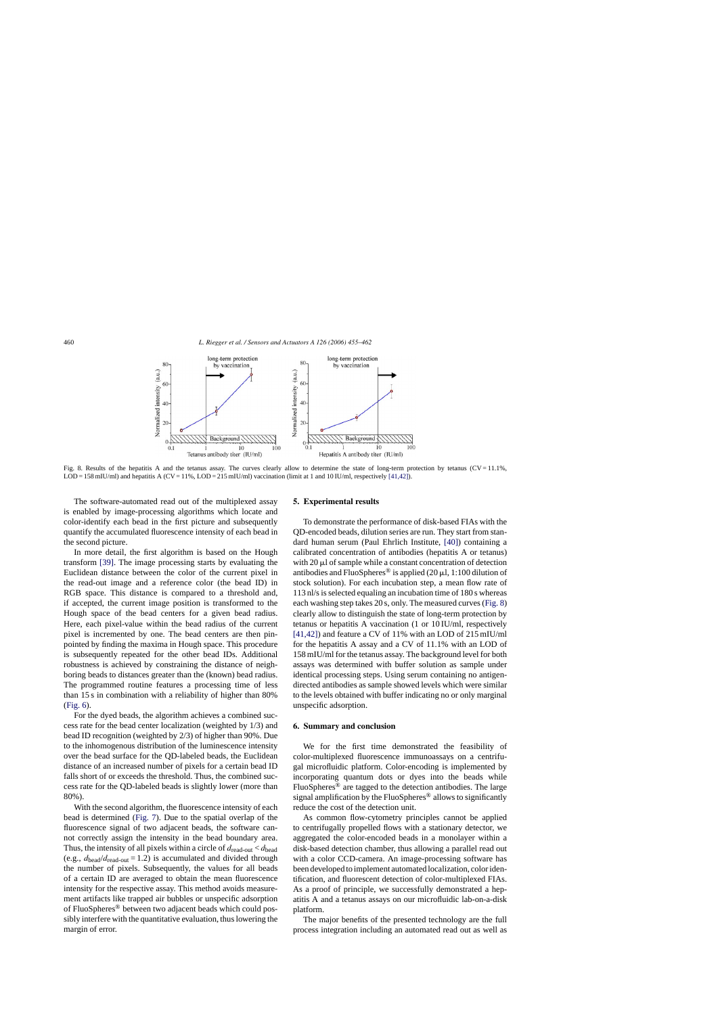

Fig. 8. Results of the hepatitis A and the tetanus assay. The curves clearly allow to determine the state of long-term protection by tetanus (CV = 11.1%,  $LOD = 158$  mIU/ml) and hepatitis A (CV = 11%,  $LOD = 215$  mIU/ml) vaccination (limit at 1 and 10 IU/ml, respectively [\[41,42\]\).](#page-6-0)

The software-automated read out of the multiplexed assay is enabled by image-processing algorithms which locate and color-identify each bead in the first picture and subsequently quantify the accumulated fluorescence intensity of each bead in the second picture.

In more detail, the first algorithm is based on the Hough transform [\[39\].](#page-6-0) The image processing starts by evaluating the Euclidean distance between the color of the current pixel in the read-out image and a reference color (the bead ID) in RGB space. This distance is compared to a threshold and, if accepted, the current image position is transformed to the Hough space of the bead centers for a given bead radius. Here, each pixel-value within the bead radius of the current pixel is incremented by one. The bead centers are then pinpointed by finding the maxima in Hough space. This procedure is subsequently repeated for the other bead IDs. Additional robustness is achieved by constraining the distance of neighboring beads to distances greater than the (known) bead radius. The programmed routine features a processing time of less than 15 s in combination with a reliability of higher than 80% [\(Fig. 6\).](#page-4-0)

For the dyed beads, the algorithm achieves a combined success rate for the bead center localization (weighted by 1/3) and bead ID recognition (weighted by 2/3) of higher than 90%. Due to the inhomogenous distribution of the luminescence intensity over the bead surface for the QD-labeled beads, the Euclidean distance of an increased number of pixels for a certain bead ID falls short of or exceeds the threshold. Thus, the combined success rate for the QD-labeled beads is slightly lower (more than 80%).

With the second algorithm, the fluorescence intensity of each bead is determined ([Fig. 7\).](#page-4-0) Due to the spatial overlap of the fluorescence signal of two adjacent beads, the software cannot correctly assign the intensity in the bead boundary area. Thus, the intensity of all pixels within a circle of  $d_{\text{read-out}} < d_{\text{head}}$ (e.g.,  $d_{\text{head}}/d_{\text{read-out}} = 1.2$ ) is accumulated and divided through the number of pixels. Subsequently, the values for all beads of a certain ID are averaged to obtain the mean fluorescence intensity for the respective assay. This method avoids measurement artifacts like trapped air bubbles or unspecific adsorption of FluoSpheres® between two adjacent beads which could possibly interfere with the quantitative evaluation, thus lowering the margin of error.

#### **5. Experimental results**

To demonstrate the performance of disk-based FIAs with the QD-encoded beads, dilution series are run. They start from standard human serum (Paul Ehrlich Institute, [\[40\]\)](#page-6-0) containing a calibrated concentration of antibodies (hepatitis A or tetanus) with  $20 \mu$  of sample while a constant concentration of detection antibodies and FluoSpheres<sup>®</sup> is applied (20  $\mu$ l, 1:100 dilution of stock solution). For each incubation step, a mean flow rate of 113 nl/s is selected equaling an incubation time of 180 s whereas each washing step takes 20 s, only. The measured curves (Fig. 8) clearly allow to distinguish the state of long-term protection by tetanus or hepatitis A vaccination (1 or 10 IU/ml, respectively [\[41,42\]\)](#page-6-0) and feature a CV of 11% with an LOD of 215 mIU/ml for the hepatitis A assay and a CV of 11.1% with an LOD of 158 mIU/ml for the tetanus assay. The background level for both assays was determined with buffer solution as sample under identical processing steps. Using serum containing no antigendirected antibodies as sample showed levels which were similar to the levels obtained with buffer indicating no or only marginal unspecific adsorption.

# **6. Summary and conclusion**

We for the first time demonstrated the feasibility of color-multiplexed fluorescence immunoassays on a centrifugal microfluidic platform. Color-encoding is implemented by incorporating quantum dots or dyes into the beads while FluoSpheres® are tagged to the detection antibodies. The large signal amplification by the FluoSpheres<sup>®</sup> allows to significantly reduce the cost of the detection unit.

As common flow-cytometry principles cannot be applied to centrifugally propelled flows with a stationary detector, we aggregated the color-encoded beads in a monolayer within a disk-based detection chamber, thus allowing a parallel read out with a color CCD-camera. An image-processing software has been developed to implement automated localization, color identification, and fluorescent detection of color-multiplexed FIAs. As a proof of principle, we successfully demonstrated a hepatitis A and a tetanus assays on our microfluidic lab-on-a-disk platform.

The major benefits of the presented technology are the full process integration including an automated read out as well as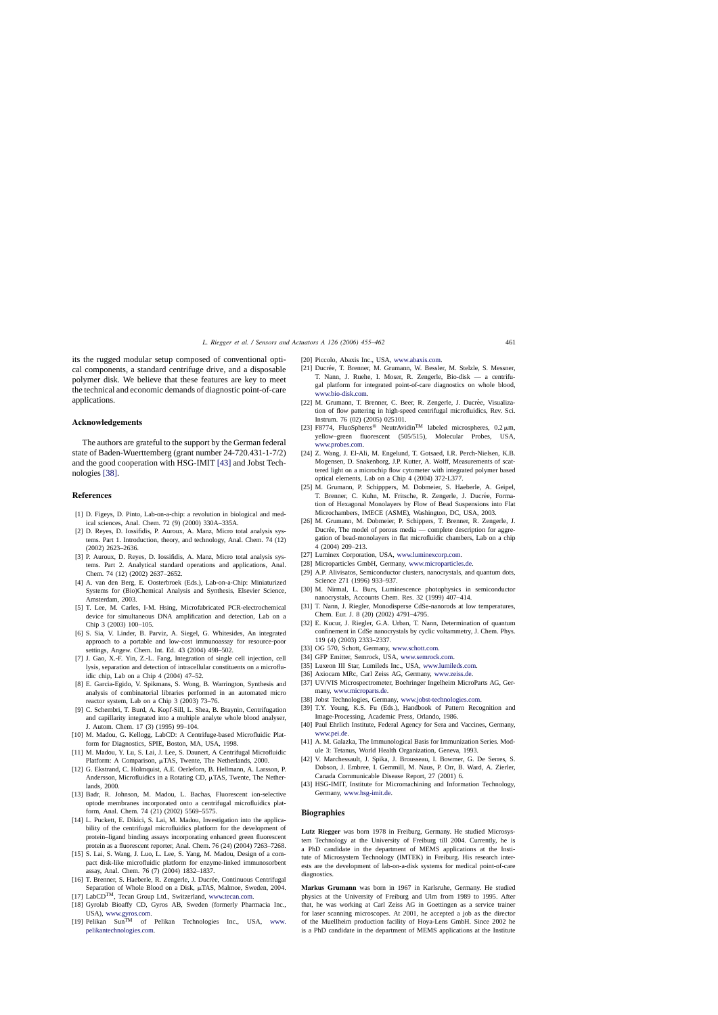<span id="page-6-0"></span>its the rugged modular setup composed of conventional optical components, a standard centrifuge drive, and a disposable polymer disk. We believe that these features are key to meet the technical and economic demands of diagnostic point-of-care applications.

#### **Acknowledgements**

The authors are grateful to the support by the German federal state of Baden-Wuerttemberg (grant number 24-720.431-1-7/2) and the good cooperation with HSG-IMIT [43] and Jobst Technologies [38].

## **References**

- [1] D. Figeys, D. Pinto, Lab-on-a-chip: a revolution in biological and medical sciences, Anal. Chem. 72 (9) (2000) 330A–335A.
- [2] D. Reyes, D. Iossifidis, P. Auroux, A. Manz, Micro total analysis systems. Part 1. Introduction, theory, and technology, Anal. Chem. 74 (12) (2002) 2623–2636.
- [3] P. Auroux, D. Reyes, D. Iossifidis, A. Manz, Micro total analysis systems. Part 2. Analytical standard operations and applications, Anal. Chem. 74 (12) (2002) 2637–2652.
- [4] A. van den Berg, E. Oosterbroek (Eds.), Lab-on-a-Chip: Miniaturized Systems for (Bio)Chemical Analysis and Synthesis, Elsevier Science, Amsterdam, 2003.
- [5] T. Lee, M. Carles, I-M. Hsing, Microfabricated PCR-electrochemical device for simultaneous DNA amplification and detection, Lab on a Chip 3 (2003) 100–105.
- [6] S. Sia, V. Linder, B. Parviz, A. Siegel, G. Whitesides, An integrated approach to a portable and low-cost immunoassay for resource-poor settings, Angew. Chem. Int. Ed. 43 (2004) 498–502.
- [7] J. Gao, X.-F. Yin, Z.-L. Fang, Integration of single cell injection, cell lysis, separation and detection of intracellular constituents on a microfluidic chip, Lab on a Chip 4 (2004) 47–52.
- [8] E. Garcia-Egido, V. Spikmans, S. Wong, B. Warrington, Synthesis and analysis of combinatorial libraries performed in an automated micro reactor system, Lab on a Chip 3 (2003) 73–76.
- [9] C. Schembri, T. Burd, A. Kopf-Sill, L. Shea, B. Braynin, Centrifugation and capillarity integrated into a multiple analyte whole blood analyser, J. Autom. Chem. 17 (3) (1995) 99–104.
- [10] M. Madou, G. Kellogg, LabCD: A Centrifuge-based Microfluidic Platform for Diagnostics, SPIE, Boston, MA, USA, 1998.
- [11] M. Madou, Y. Lu, S. Lai, J. Lee, S. Daunert, A Centrifugal Microfluidic Platform: A Comparison,  $\mu$ TAS, Twente, The Netherlands, 2000.
- [12] G. Ekstrand, C. Holmquist, A.E. Oerleforn, B. Hellmann, A. Larsson, P. Andersson, Microfluidics in a Rotating CD,  $\mu$ TAS, Twente, The Netherlands, 2000.
- [13] Badr, R. Johnson, M. Madou, L. Bachas, Fluorescent ion-selective optode membranes incorporated onto a centrifugal microfluidics platform, Anal. Chem. 74 (21) (2002) 5569–5575.
- [14] L. Puckett, E. Dikici, S. Lai, M. Madou, Investigation into the applicability of the centrifugal microfluidics platform for the development of protein–ligand binding assays incorporating enhanced green fluorescent protein as a fluorescent reporter, Anal. Chem. 76 (24) (2004) 7263–7268.
- [15] S. Lai, S. Wang, J. Luo, L. Lee, S. Yang, M. Madou, Design of a compact disk-like microfluidic platform for enzyme-linked immunosorbent assay, Anal. Chem. 76 (7) (2004) 1832–1837.
- [16] T. Brenner, S. Haeberle, R. Zengerle, J. Ducrée, Continuous Centrifugal Separation of Whole Blood on a Disk,  $\mu$ TAS, Malmoe, Sweden, 2004.
- [17] LabCDTM, Tecan Group Ltd., Switzerland, [www.tecan.com](http://www.tecan.com/).
- [18] Gyrolab Bioaffy CD, Gyros AB, Sweden (formerly Pharmacia Inc., USA), [www.gyros.com](http://www.gyros.com/).
- [19] Pelikan Sun<sup>TM</sup> of Pelikan Technologies Inc., USA, www. pelikantechnologies.com.
- [20] Piccolo, Abaxis Inc., USA, [www.abaxis.com](http://www.abaxis.com/).
- [21] Ducrée, T. Brenner, M. Grumann, W. Bessler, M. Stelzle, S. Messner, T. Nann, J. Ruehe, I. Moser, R. Zengerle, Bio-disk — a centrifugal platform for integrated point-of-care diagnostics on whole blood, [www.bio-disk.com](http://www.bio-disk.com/).
- [22] M. Grumann, T. Brenner, C. Beer, R. Zengerle, J. Ducrée, Visualization of flow pattering in high-speed centrifugal microfluidics, Rev. Sci. Instrum. 76 (02) (2005) 025101.
- [23] F8774, FluoSpheres® NeutrAvidin<sup>TM</sup> labeled microspheres,  $0.2 \mu$ m, yellow–green fluorescent (505/515), Molecular Probes, USA, [www.probes.com](http://www.probes.com/).
- [24] Z. Wang, J. El-Ali, M. Engelund, T. Gotsaed, I.R. Perch-Nielsen, K.B. Mogensen, D. Snakenborg, J.P. Kutter, A. Wolff, Measurements of scattered light on a microchip flow cytometer with integrated polymer based optical elements, Lab on a Chip 4 (2004) 372-L377.
- [25] M. Grumann, P. Schipppers, M. Dobmeier, S. Haeberle, A. Geipel, T. Brenner, C. Kuhn, M. Fritsche, R. Zengerle, J. Ducrée, Formation of Hexagonal Monolayers by Flow of Bead Suspensions into Flat Microchambers, IMECE (ASME), Washington, DC, USA, 2003.
- [26] M. Grumann, M. Dobmeier, P. Schippers, T. Brenner, R. Zengerle, J. Ducrée, The model of porous media — complete description for aggregation of bead-monolayers in flat microfluidic chambers, Lab on a chip 4 (2004) 209–213.
- [27] Luminex Corporation, USA, [www.luminexcorp.com](http://www.luminexcorp.com/).
- [28] Microparticles GmbH, Germany, [www.microparticles.de.](http://www.microparticles.de/)
- [29] A.P. Alivisatos, Semiconductor clusters, nanocrystals, and quantum dots, Science 271 (1996) 933–937.
- [30] M. Nirmal, L. Burs, Luminescence photophysics in semiconductor nanocrystals, Accounts Chem. Res. 32 (1999) 407–414.
- [31] T. Nann, J. Riegler, Monodisperse CdSe-nanorods at low temperatures, Chem. Eur. J. 8 (20) (2002) 4791–4795.
- [32] E. Kucur, J. Riegler, G.A. Urban, T. Nann, Determination of quantum confinement in CdSe nanocrystals by cyclic voltammetry, J. Chem. Phys. 119 (4) (2003) 2333–2337.
- [33] OG 570, Schott, Germany, [www.schott.com](http://www.schott.com/).
- [34] GFP Emitter, Semrock, USA, [www.semrock.com.](http://www.semrock.com/)
- [35] Luxeon III Star, Lumileds Inc., USA, [www.lumileds.com](http://www.lumileds.com/).
- [36] Axiocam MRc, Carl Zeiss AG, Germany, [www.zeiss.de](http://www.zeiss.de/).
- [37] UV/VIS Microspectrometer, Boehringer Ingelheim MicroParts AG, Germany, [www.microparts.de](http://www.microparts.de/).
- [38] Jobst Technologies, Germany, [www.jobst-technologies.com](http://www.jobst-technologies.com/).
- [39] T.Y. Young, K.S. Fu (Eds.), Handbook of Pattern Recognition and Image-Processing, Academic Press, Orlando, 1986.
- [40] Paul Ehrlich Institute, Federal Agency for Sera and Vaccines, Germany, [www.pei.de.](http://www.pei.de/)
- [41] A. M. Galazka, The Immunological Basis for Immunization Series. Module 3: Tetanus, World Health Organization, Geneva, 1993.
- [42] V. Marchessault, J. Spika, J. Brousseau, I. Bowmer, G. De Serres, S. Dobson, J. Embree, I. Gemmill, M. Naus, P. Orr, B. Ward, A. Zierler, Canada Communicable Disease Report, 27 (2001) 6.
- [43] HSG-IMIT, Institute for Micromachining and Information Technology, Germany, [www.hsg-imit.de.](http://www.hsg-imit.de/)

#### **Biographies**

**Lutz Riegger** was born 1978 in Freiburg, Germany. He studied Microsystem Technology at the University of Freiburg till 2004. Currently, he is a PhD candidate in the department of MEMS applications at the Institute of Microsystem Technology (IMTEK) in Freiburg. His research interests are the development of lab-on-a-disk systems for medical point-of-care diagnostics.

**Markus Grumann** was born in 1967 in Karlsruhe, Germany. He studied physics at the University of Freiburg and Ulm from 1989 to 1995. After that, he was working at Carl Zeiss AG in Goettingen as a service trainer for laser scanning microscopes. At 2001, he accepted a job as the director [of the Muellheim](http://www.pelikantechnologies.com/) production facility of Hoya-Lens GmbH. Since 2002 he is a PhD candidate in the department of MEMS applications at the Institute